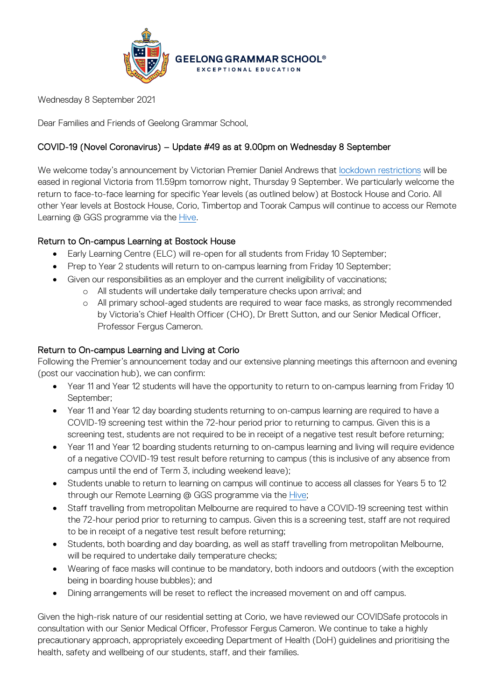

Wednesday 8 September 2021

Dear Families and Friends of Geelong Grammar School,

# COVID-19 (Novel Coronavirus) – Update #49 as at 9.00pm on Wednesday 8 September

We welcome today's announcement by Victorian Premier Daniel Andrews that [lockdown restrictions](https://www.premier.vic.gov.au/sites/default/files/2021-09/210908%20-%20Table%20of%20Restrictions_0.pdf) will be eased in regional Victoria from 11.59pm tomorrow night, Thursday 9 September. We particularly welcome the return to face-to-face learning for specific Year levels (as outlined below) at Bostock House and Corio. All other Year levels at Bostock House, Corio, Timbertop and Toorak Campus will continue to access our Remote Learning @ GGS programme via the [Hive.](https://hive.ggs.vic.edu.au/)

## Return to On-campus Learning at Bostock House

- Early Learning Centre (ELC) will re-open for all students from Friday 10 September;
- Prep to Year 2 students will return to on-campus learning from Friday 10 September;
- Given our responsibilities as an employer and the current ineligibility of vaccinations;
	- o All students will undertake daily temperature checks upon arrival; and
	- o All primary school-aged students are required to wear face masks, as strongly recommended by Victoria's Chief Health Officer (CHO), Dr Brett Sutton, and our Senior Medical Officer, Professor Fergus Cameron.

## Return to On-campus Learning and Living at Corio

Following the Premier's announcement today and our extensive planning meetings this afternoon and evening (post our vaccination hub), we can confirm:

- Year 11 and Year 12 students will have the opportunity to return to on-campus learning from Friday 10 September;
- Year 11 and Year 12 day boarding students returning to on-campus learning are required to have a COVID-19 screening test within the 72-hour period prior to returning to campus. Given this is a screening test, students are not required to be in receipt of a negative test result before returning;
- Year 11 and Year 12 boarding students returning to on-campus learning and living will require evidence of a negative COVID-19 test result before returning to campus (this is inclusive of any absence from campus until the end of Term 3, including weekend leave);
- Students unable to return to learning on campus will continue to access all classes for Years 5 to 12 through our Remote Learning @ GGS programme via the [Hive;](https://hive.ggs.vic.edu.au/)
- Staff travelling from metropolitan Melbourne are required to have a COVID-19 screening test within the 72-hour period prior to returning to campus. Given this is a screening test, staff are not required to be in receipt of a negative test result before returning;
- Students, both boarding and day boarding, as well as staff travelling from metropolitan Melbourne, will be required to undertake daily temperature checks;
- Wearing of face masks will continue to be mandatory, both indoors and outdoors (with the exception being in boarding house bubbles); and
- Dining arrangements will be reset to reflect the increased movement on and off campus.

Given the high-risk nature of our residential setting at Corio, we have reviewed our COVIDSafe protocols in consultation with our Senior Medical Officer, Professor Fergus Cameron. We continue to take a highly precautionary approach, appropriately exceeding Department of Health (DoH) guidelines and prioritising the health, safety and wellbeing of our students, staff, and their families.